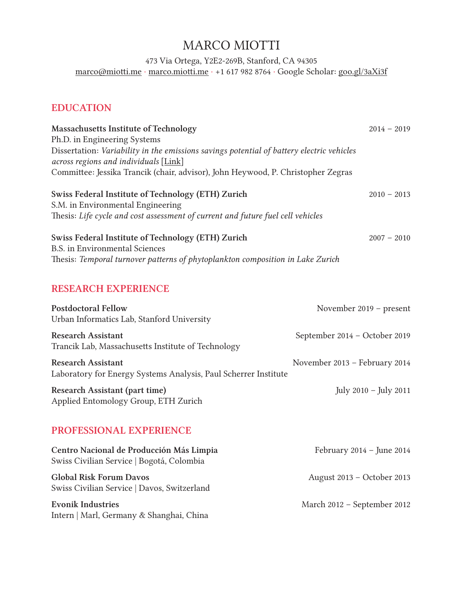# MARCO MIOTTI

473 Via Ortega, Y2E2-269B, Stanford, CA 94305 [marco@miotti.me](mailto:marco%40miotti.me?subject=) · [marco.miotti.m](http://marco.miotti.me)e · +1 617 982 8764 · Google Scholar: [goo.gl/3aXi3f](http://goo.gl/3aXi3f)

### EDUCATION

| Massachusetts Institute of Technology                                                     | $2014 - 2019$                 |  |
|-------------------------------------------------------------------------------------------|-------------------------------|--|
| Ph.D. in Engineering Systems                                                              |                               |  |
| Dissertation: Variability in the emissions savings potential of battery electric vehicles |                               |  |
| across regions and individuals [Link]                                                     |                               |  |
| Committee: Jessika Trancik (chair, advisor), John Heywood, P. Christopher Zegras          |                               |  |
| Swiss Federal Institute of Technology (ETH) Zurich                                        | $2010 - 2013$                 |  |
| S.M. in Environmental Engineering                                                         |                               |  |
| Thesis: Life cycle and cost assessment of current and future fuel cell vehicles           |                               |  |
| Swiss Federal Institute of Technology (ETH) Zurich                                        | $2007 - 2010$                 |  |
| <b>B.S.</b> in Environmental Sciences                                                     |                               |  |
| Thesis: Temporal turnover patterns of phytoplankton composition in Lake Zurich            |                               |  |
| <b>RESEARCH EXPERIENCE</b>                                                                |                               |  |
| <b>Postdoctoral Fellow</b>                                                                | November $2019$ – present     |  |
| Urban Informatics Lab, Stanford University                                                |                               |  |
| <b>Research Assistant</b>                                                                 | September 2014 - October 2019 |  |
| Trancik Lab, Massachusetts Institute of Technology                                        |                               |  |
| <b>Research Assistant</b>                                                                 | November 2013 - February 2014 |  |

Laboratory for Energy Systems Analysis, Paul Scherrer Institute

Research Assistant (part time) July 2010 – July 2011 Applied Entomology Group, ETH Zurich

### PROFESSIONAL EXPERIENCE

| Centro Nacional de Producción Más Limpia<br>Swiss Civilian Service   Bogotá, Colombia | February $2014$ – June $2014$ |
|---------------------------------------------------------------------------------------|-------------------------------|
| <b>Global Risk Forum Davos</b><br>Swiss Civilian Service   Davos, Switzerland         | August 2013 - October 2013    |
| <b>Evonik Industries</b><br>Intern   Marl, Germany & Shanghai, China                  | March 2012 - September 2012   |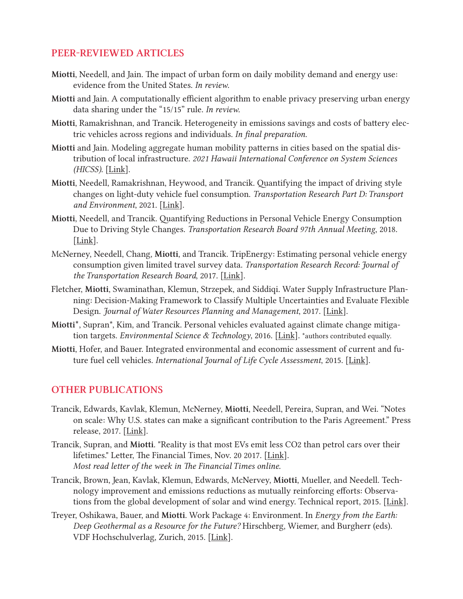### PEER-REVIEWED ARTICLES

- Miotti, Needell, and Jain. The impact of urban form on daily mobility demand and energy use: evidence from the United States. *In review.*
- Miotti and Jain. A computationally efficient algorithm to enable privacy preserving urban energy data sharing under the "15/15" rule. *In review.*
- Miotti, Ramakrishnan, and Trancik. Heterogeneity in emissions savings and costs of battery electric vehicles across regions and individuals. *In final preparation.*
- Miotti and Jain. Modeling aggregate human mobility patterns in cities based on the spatial distribution of local infrastructure. *2021 Hawaii International Conference on System Sciences (HICSS).* [[Link](https://scholarspace.manoa.hawaii.edu/handle/10125/70833)].
- Miotti, Needell, Ramakrishnan, Heywood, and Trancik. Quantifying the impact of driving style changes on light-duty vehicle fuel consumption. *Transportation Research Part D: Transport and Environment*, 2021*.* [\[Link](https://www.sciencedirect.com/science/article/pii/S1361920921002170?casa_token=rnnK_B0wfoIAAAAA:O4y17RJX2T95L8tVx0BrN61WPNaKAyuDGg8ZsO9iz1TFNGR8kOSBMDlhgaJQX3ab-n3V71cVBQ)].
- Miotti, Needell, and Trancik. Quantifying Reductions in Personal Vehicle Energy Consumption Due to Driving Style Changes. *Transportation Research Board 97th Annual Meeting*, 2018*.*  [\[Link](https://trid.trb.org/view/1496938)].
- McNerney, Needell, Chang, Miotti, and Trancik. TripEnergy: Estimating personal vehicle energy consumption given limited travel survey data. *Transportation Research Record: Journal of the Transportation Research Board*, 2017. [[Link](https://journals.sagepub.com/doi/10.3141/2628-07)].
- Fletcher, Miotti, Swaminathan, Klemun, Strzepek, and Siddiqi. Water Supply Infrastructure Planning: Decision-Making Framework to Classify Multiple Uncertainties and Evaluate Flexible Design. *Journal of Water Resources Planning and Management*, 2017. [[Link](https://ascelibrary.org/doi/abs/10.1061/(ASCE)WR.1943-5452.0000823)].
- Miotti\*, Supran\*, Kim, and Trancik. Personal vehicles evaluated against climate change mitigation targets. *Environmental Science & Technology*, 2016. [[Link](https://pubs.acs.org/doi/abs/10.1021/acs.est.6b00177)]. \*authors contributed equally.
- Miotti, Hofer, and Bauer. Integrated environmental and economic assessment of current and future fuel cell vehicles. *International Journal of Life Cycle Assessment*, 2015. [[Link](https://link.springer.com/article/10.1007/s11367-015-0986-4)].

#### OTHER PUBLICATIONS

- Trancik, Edwards, Kavlak, Klemun, McNerney, Miotti, Needell, Pereira, Supran, and Wei. "Notes on scale: Why U.S. states can make a significant contribution to the Paris Agreement." Press release, 2017. [[Link](http://trancik.mit.edu/how-much-can-us-states-contribute-to-the-paris-agreement/)].
- Trancik, Supran, and Miotti. "Reality is that most EVs emit less CO2 than petrol cars over their lifetimes." Letter, The Financial Times, Nov. 20 2017. [[Link](https://www.ft.com/content/d14b6c8a-c61e-11e7-b2bb-322b2cb39656)]. *Most read letter of the week in The Financial Times online.*
- Trancik, Brown, Jean, Kavlak, Klemun, Edwards, McNervey, Miotti, Mueller, and Needell. Technology improvement and emissions reductions as mutually reinforcing efforts: Observa-tions from the global development of solar and wind energy. Technical report, 2015. [[Link](https://dspace.mit.edu/handle/1721.1/102237)].
- Treyer, Oshikawa, Bauer, and Miotti. Work Package 4: Environment. In *Energy from the Earth: Deep Geothermal as a Resource for the Future?* Hirschberg, Wiemer, and Burgherr (eds). VDF Hochschulverlag, Zurich, 2015. [[Link](https://naturalsciences.ch/service/publications/75868-energy-from-the-earth---deep-geothermal-as-a-resource-for-the-future-)].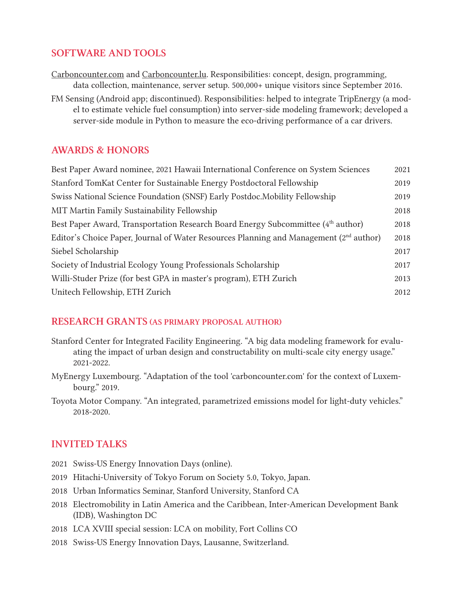### SOFTWARE AND TOOLS

[Carboncounter.com](http://www.carboncounter.com) and [Carboncounter.lu.](http://www.carboncounter.lu) Responsibilities: concept, design, programming, data collection, maintenance, server setup. 500,000+ unique visitors since September 2016.

FM Sensing (Android app; discontinued). Responsibilities: helped to integrate TripEnergy (a model to estimate vehicle fuel consumption) into server-side modeling framework; developed a server-side module in Python to measure the eco-driving performance of a car drivers.

# AWARDS & HONORS

| Best Paper Award nominee, 2021 Hawaii International Conference on System Sciences                  | 2021 |
|----------------------------------------------------------------------------------------------------|------|
| Stanford TomKat Center for Sustainable Energy Postdoctoral Fellowship                              | 2019 |
| Swiss National Science Foundation (SNSF) Early Postdoc. Mobility Fellowship                        | 2019 |
| MIT Martin Family Sustainability Fellowship                                                        | 2018 |
| Best Paper Award, Transportation Research Board Energy Subcommittee (4th author)                   | 2018 |
| Editor's Choice Paper, Journal of Water Resources Planning and Management (2 <sup>nd</sup> author) | 2018 |
| Siebel Scholarship                                                                                 | 2017 |
| Society of Industrial Ecology Young Professionals Scholarship                                      | 2017 |
| Willi-Studer Prize (for best GPA in master's program), ETH Zurich                                  | 2013 |
| Unitech Fellowship, ETH Zurich                                                                     | 2012 |

#### RESEARCH GRANTS (AS PRIMARY PROPOSAL AUTHOR)

- Stanford Center for Integrated Facility Engineering. "A big data modeling framework for evaluating the impact of urban design and constructability on multi-scale city energy usage." 2021-2022.
- MyEnergy Luxembourg. "Adaptation of the tool 'carboncounter.com' for the context of Luxembourg." 2019.
- Toyota Motor Company. "An integrated, parametrized emissions model for light-duty vehicles." 2018-2020.

# INVITED TALKS

- 2021 Swiss-US Energy Innovation Days (online).
- 2019 Hitachi-University of Tokyo Forum on Society 5.0, Tokyo, Japan.
- 2018 Urban Informatics Seminar, Stanford University, Stanford CA
- 2018 Electromobility in Latin America and the Caribbean, Inter-American Development Bank (IDB), Washington DC
- 2018 LCA XVIII special session: LCA on mobility, Fort Collins CO
- 2018 Swiss-US Energy Innovation Days, Lausanne, Switzerland.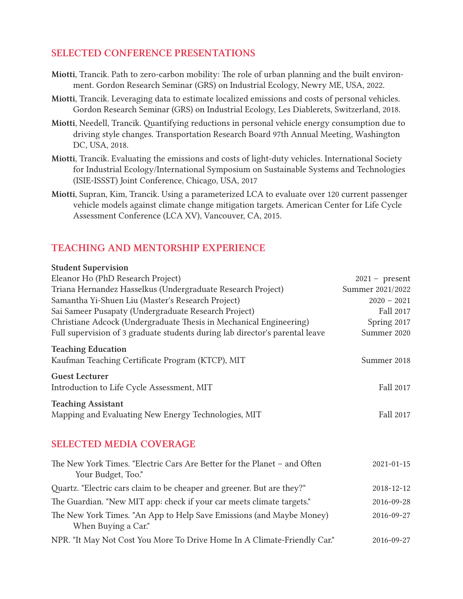# SELECTED CONFERENCE PRESENTATIONS

- Miotti, Trancik. Path to zero-carbon mobility: The role of urban planning and the built environment. Gordon Research Seminar (GRS) on Industrial Ecology, Newry ME, USA, 2022.
- Miotti, Trancik. Leveraging data to estimate localized emissions and costs of personal vehicles. Gordon Research Seminar (GRS) on Industrial Ecology, Les Diablerets, Switzerland, 2018.
- Miotti, Needell, Trancik. Quantifying reductions in personal vehicle energy consumption due to driving style changes. Transportation Research Board 97th Annual Meeting, Washington DC, USA, 2018.
- Miotti, Trancik. Evaluating the emissions and costs of light-duty vehicles. International Society for Industrial Ecology/International Symposium on Sustainable Systems and Technologies (ISIE-ISSST) Joint Conference, Chicago, USA, 2017
- Miotti, Supran, Kim, Trancik. Using a parameterized LCA to evaluate over 120 current passenger vehicle models against climate change mitigation targets. American Center for Life Cycle Assessment Conference (LCA XV), Vancouver, CA, 2015.

# TEACHING AND MENTORSHIP EXPERIENCE

#### Student Supervision

| Eleanor Ho (PhD Research Project)                                                              | $2021 - present$ |
|------------------------------------------------------------------------------------------------|------------------|
| Triana Hernandez Hasselkus (Undergraduate Research Project)                                    | Summer 2021/2022 |
| Samantha Yi-Shuen Liu (Master's Research Project)                                              | $2020 - 2021$    |
| Sai Sameer Pusapaty (Undergraduate Research Project)                                           | Fall 2017        |
| Christiane Adcock (Undergraduate Thesis in Mechanical Engineering)                             | Spring 2017      |
| Full supervision of 3 graduate students during lab director's parental leave                   | Summer 2020      |
| <b>Teaching Education</b>                                                                      |                  |
| Kaufman Teaching Certificate Program (KTCP), MIT                                               | Summer 2018      |
| <b>Guest Lecturer</b>                                                                          |                  |
| Introduction to Life Cycle Assessment, MIT                                                     | Fall 2017        |
| <b>Teaching Assistant</b>                                                                      |                  |
| Mapping and Evaluating New Energy Technologies, MIT                                            | Fall 2017        |
| <b>SELECTED MEDIA COVERAGE</b>                                                                 |                  |
| The New York Times. "Electric Cars Are Better for the Planet - and Often<br>Your Budget, Too." | $2021 - 01 - 15$ |
| Quartz. "Electric cars claim to be cheaper and greener. But are they?"                         | 2018-12-12       |
| The Guardian. "New MIT app: check if your car meets climate targets."                          | 2016-09-28       |
| The New York Times. "An App to Help Save Emissions (and Maybe Money)<br>When Buying a Car."    | 2016-09-27       |
| NPR. "It May Not Cost You More To Drive Home In A Climate-Friendly Car."                       | 2016-09-27       |